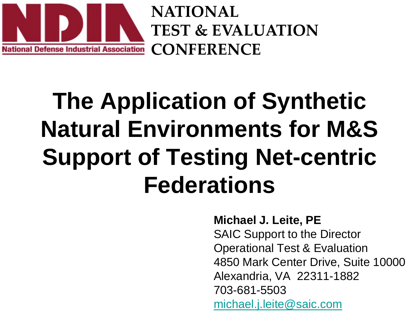

**NATIONAL TEST & EVALUATION CONFERENCE**

### **The Application of Synthetic Natural Environments for M&S Support of Testing Net-centric Federations**

**Michael J. Leite, PE**

SAIC Support to the Director Operational Test & Evaluation 4850 Mark Center Drive, Suite 10000 Alexandria, VA 22311-1882 703-681-5503 [michael.j.leite@saic.com](mailto:michael.j.leite@saic.com)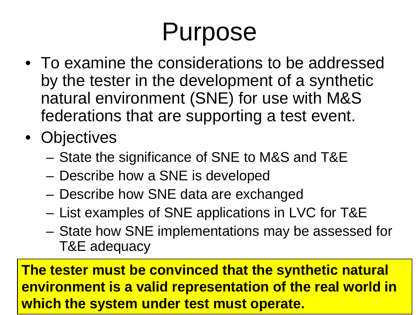# Purpose

- To examine the considerations to be addressed by the tester in the development of a synthetic natural environment (SNE) for use with M&S federations that are supporting a test event.
- Objectives
	- State the significance of SNE to M&S and T&E
	- Describe how a SNE is developed
	- Describe how SNE data are exchanged
	- List examples of SNE applications in LVC for T&E
	- State how SNE implementations may be assessed for T&E adequacy

**The tester must be convinced that the synthetic natural environment is a valid representation of the real world in which the system under test must operate.**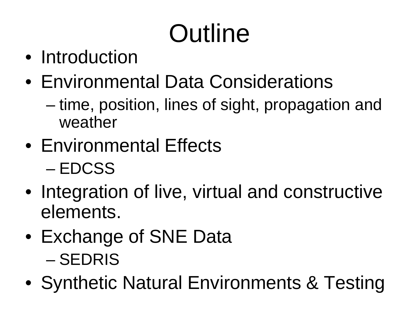# **Outline**

- Introduction
- Environmental Data Considerations
	- time, position, lines of sight, propagation and weather
- Environmental Effects – EDCSS
- Integration of live, virtual and constructive elements.
- Exchange of SNE Data – SEDRIS
- Synthetic Natural Environments & Testing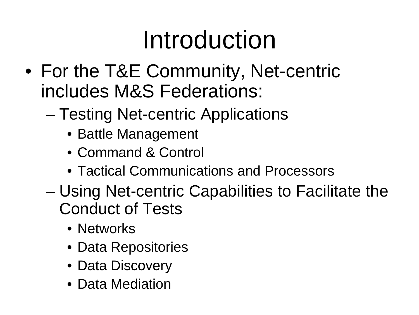## Introduction

- For the T&E Community, Net-centric includes M&S Federations:
	- Testing Net-centric Applications
		- Battle Management
		- Command & Control
		- Tactical Communications and Processors
	- Using Net-centric Capabilities to Facilitate the Conduct of Tests
		- Networks
		- Data Repositories
		- Data Discovery
		- Data Mediation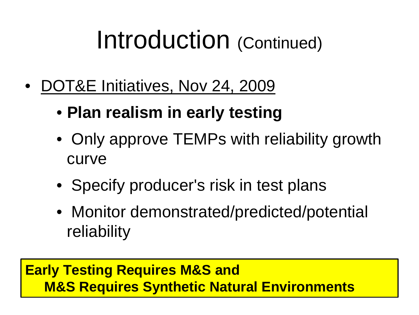### Introduction (Continued)

- DOT&E Initiatives, Nov 24, 2009
	- **Plan realism in early testing**
	- Only approve TEMPs with reliability growth curve
	- Specify producer's risk in test plans
	- Monitor demonstrated/predicted/potential reliability

#### **Early Testing Requires M&S and M&S Requires Synthetic Natural Environments**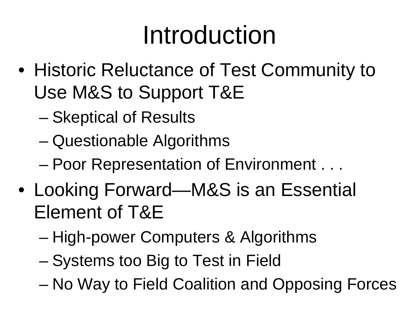### Introduction

- Historic Reluctance of Test Community to Use M&S to Support T&E
	- Skeptical of Results
	- Questionable Algorithms
	- Poor Representation of Environment . . .
- Looking Forward—M&S is an Essential Element of T&E
	- High-power Computers & Algorithms
	- Systems too Big to Test in Field
	- No Way to Field Coalition and Opposing Forces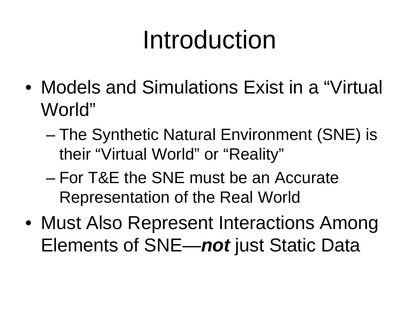### Introduction

- Models and Simulations Exist in a "Virtual World"
	- The Synthetic Natural Environment (SNE) is their "Virtual World" or "Reality"
	- For T&E the SNE must be an Accurate Representation of the Real World
- Must Also Represent Interactions Among Elements of SNE—*not* just Static Data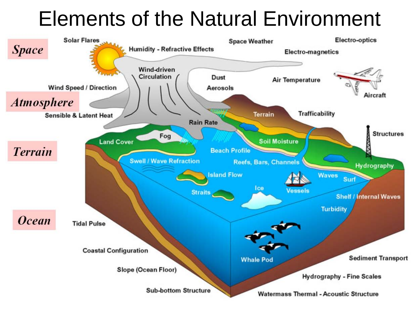### Elements of the Natural Environment

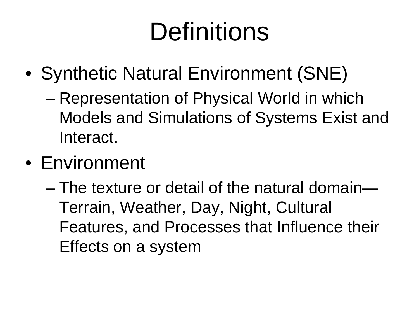## **Definitions**

- Synthetic Natural Environment (SNE)
	- Representation of Physical World in which Models and Simulations of Systems Exist and Interact.
- Environment
	- The texture or detail of the natural domain— Terrain, Weather, Day, Night, Cultural Features, and Processes that Influence their Effects on a system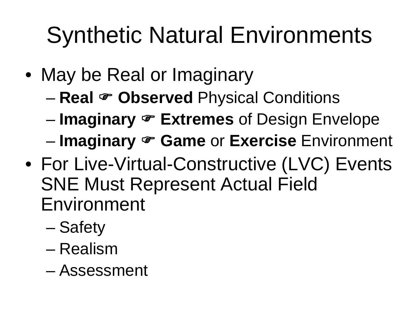### Synthetic Natural Environments

- May be Real or Imaginary
	- **Real Observed** Physical Conditions
	- **Imaginary Extremes** of Design Envelope
	- **Imaginary Game** or **Exercise** Environment
- For Live-Virtual-Constructive (LVC) Events SNE Must Represent Actual Field Environment
	- Safety
	- Realism
	- Assessment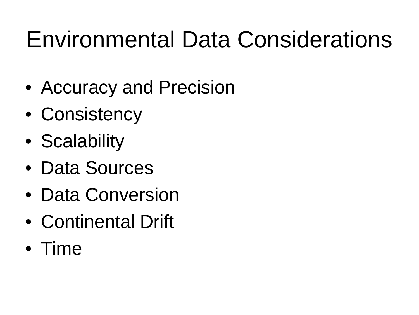### Environmental Data Considerations

- Accuracy and Precision
- Consistency
- Scalability
- Data Sources
- Data Conversion
- Continental Drift
- Time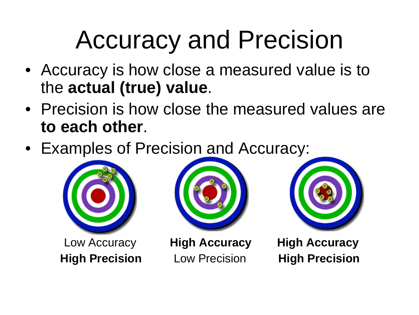### Accuracy and Precision

- Accuracy is how close a measured value is to the **actual (true) value**.
- Precision is how close the measured values are **to each other**.
- Examples of Precision and Accuracy:







Low Accuracy **High Accuracy High Accuracy High Precision** Low Precision **High Precision**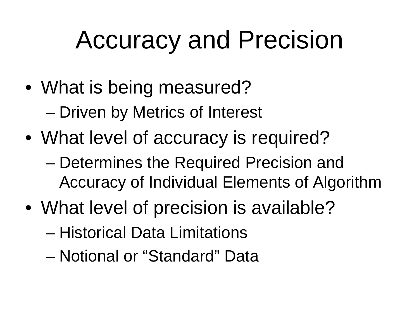### Accuracy and Precision

- What is being measured? – Driven by Metrics of Interest
- What level of accuracy is required?
	- Determines the Required Precision and Accuracy of Individual Elements of Algorithm
- What level of precision is available?
	- Historical Data Limitations
	- Notional or "Standard" Data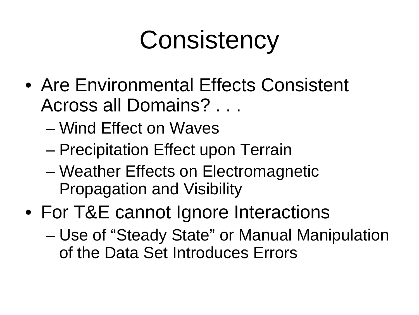## **Consistency**

- Are Environmental Effects Consistent Across all Domains? . . .
	- Wind Effect on Waves
	- Precipitation Effect upon Terrain
	- Weather Effects on Electromagnetic Propagation and Visibility
- For T&E cannot Ignore Interactions
	- Use of "Steady State" or Manual Manipulation of the Data Set Introduces Errors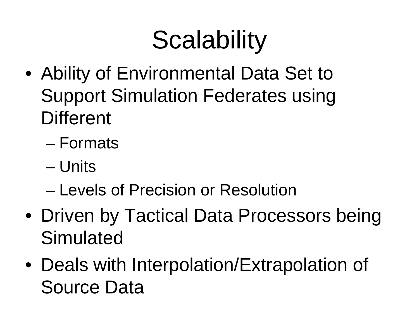# **Scalability**

- Ability of Environmental Data Set to Support Simulation Federates using **Different** 
	- Formats
	- Units
	- Levels of Precision or Resolution
- Driven by Tactical Data Processors being **Simulated**
- Deals with Interpolation/Extrapolation of Source Data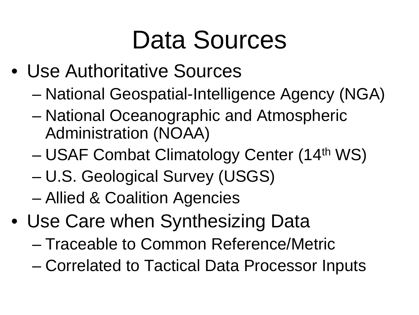### Data Sources

- Use Authoritative Sources
	- National Geospatial-Intelligence Agency (NGA)
	- National Oceanographic and Atmospheric Administration (NOAA)
	- USAF Combat Climatology Center (14th WS)
	- U.S. Geological Survey (USGS)
	- Allied & Coalition Agencies
- Use Care when Synthesizing Data
	- Traceable to Common Reference/Metric
	- Correlated to Tactical Data Processor Inputs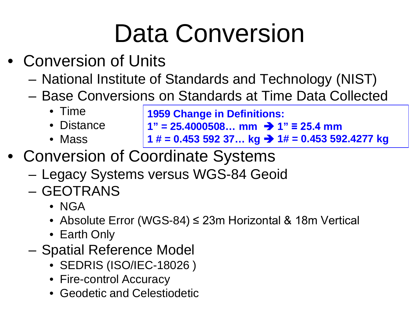# Data Conversion

- Conversion of Units
	- National Institute of Standards and Technology (NIST)
	- Base Conversions on Standards at Time Data Collected
		- Time
		- Distance
		- Mass

**1959 Change in Definitions:**

- $1" = 25.4000508...$  mm  $\rightarrow 1" \equiv 25.4$  mm
- **1 # = 0.453 592 37... kg → 1# = 0.453 592.4277 kg**
- Conversion of Coordinate Systems
	- Legacy Systems versus WGS-84 Geoid
	- GEOTRANS
		- NGA
		- Absolute Error (WGS-84) ≤ 23m Horizontal & 18m Vertical
		- Earth Only
	- Spatial Reference Model
		- SEDRIS (ISO/IEC-18026 )
		- Fire-control Accuracy
		- Geodetic and Celestiodetic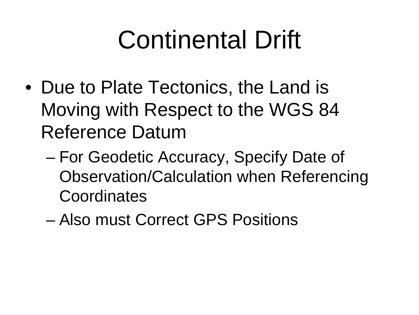## Continental Drift

- Due to Plate Tectonics, the Land is Moving with Respect to the WGS 84 Reference Datum
	- For Geodetic Accuracy, Specify Date of Observation/Calculation when Referencing **Coordinates**
	- Also must Correct GPS Positions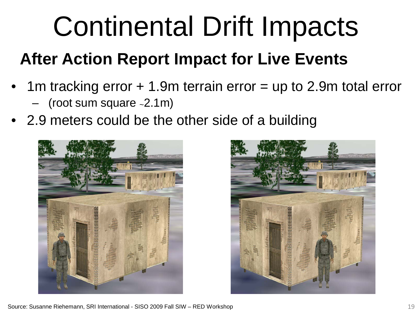# Continental Drift Impacts

#### **After Action Report Impact for Live Events**

- 1m tracking error + 1.9m terrain error = up to 2.9m total error – (root sum square ~2.1m)
- 2.9 meters could be the other side of a building



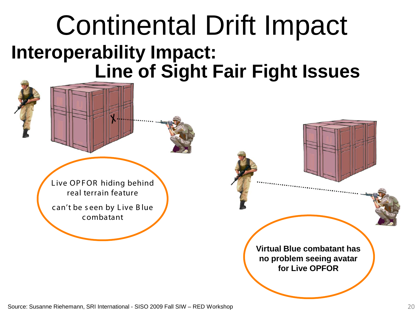### Continental Drift Impact **Interoperability Impact: Line of Sight Fair Fight Issues**

Live OPFOR hiding behind real terrain feature

c an't be s een by L ive B lue c ombatant

**Virtual Blue combatant has no problem seeing avatar for Live OPFOR**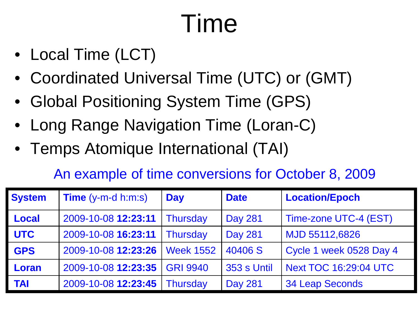# Time

- Local Time (LCT)
- Coordinated Universal Time (UTC) or (GMT)
- Global Positioning System Time (GPS)
- Long Range Navigation Time (Loran-C)
- Temps Atomique International (TAI)

#### An example of time conversions for October 8, 2009

| <b>System</b> | <b>Time</b> $(y-m-d \text{ h}:\text{m}:\text{s})$ | <b>Day</b>       | <b>Date</b>    | <b>Location/Epoch</b>        |
|---------------|---------------------------------------------------|------------------|----------------|------------------------------|
| <b>Local</b>  | 2009-10-08 12:23:11                               | <b>Thursday</b>  | <b>Day 281</b> | Time-zone UTC-4 (EST)        |
| <b>UTC</b>    | 2009-10-08 16:23:11                               | Thursday         | <b>Day 281</b> | MJD 55112,6826               |
| <b>GPS</b>    | 2009-10-08 12:23:26                               | <b>Week 1552</b> | 40406 S        | Cycle 1 week 0528 Day 4      |
| Loran         | 2009-10-08 12:23:35                               | <b>GRI 9940</b>  | 353 s Until    | <b>Next TOC 16:29:04 UTC</b> |
| <b>TAI</b>    | 2009-10-08 12:23:45                               | <b>Thursday</b>  | <b>Day 281</b> | <b>34 Leap Seconds</b>       |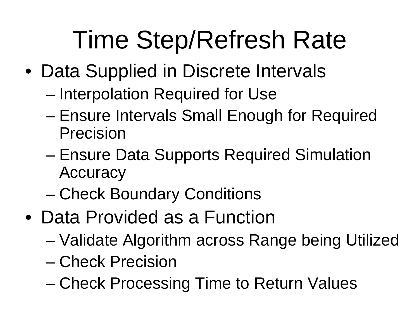## Time Step/Refresh Rate

- Data Supplied in Discrete Intervals
	- Interpolation Required for Use
	- Ensure Intervals Small Enough for Required Precision
	- Ensure Data Supports Required Simulation **Accuracy**
	- Check Boundary Conditions
- Data Provided as a Function
	- Validate Algorithm across Range being Utilized
	- Check Precision
	- Check Processing Time to Return Values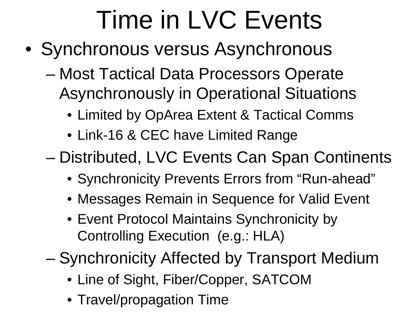# Time in LVC Events

- Synchronous versus Asynchronous
	- Most Tactical Data Processors Operate Asynchronously in Operational Situations
		- Limited by OpArea Extent & Tactical Comms
		- Link-16 & CEC have Limited Range

– Distributed, LVC Events Can Span Continents

- Synchronicity Prevents Errors from "Run-ahead"
- Messages Remain in Sequence for Valid Event
- Event Protocol Maintains Synchronicity by Controlling Execution (e.g.: HLA)
- Synchronicity Affected by Transport Medium
	- Line of Sight, Fiber/Copper, SATCOM
	- Travel/propagation Time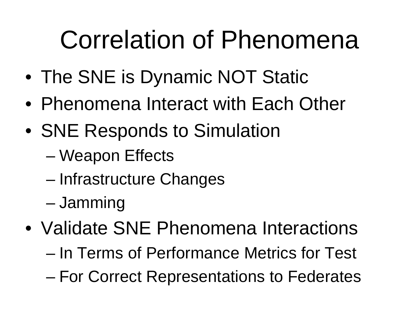## Correlation of Phenomena

- The SNE is Dynamic NOT Static
- Phenomena Interact with Each Other
- SNE Responds to Simulation
	- Weapon Effects
	- Infrastructure Changes
	- Jamming
- Validate SNE Phenomena Interactions
	- In Terms of Performance Metrics for Test
	- For Correct Representations to Federates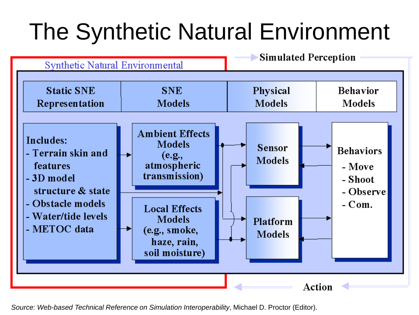### The Synthetic Natural Environment



*Source: Web-based Technical Reference on Simulation Interoperability*, Michael D. Proctor (Editor).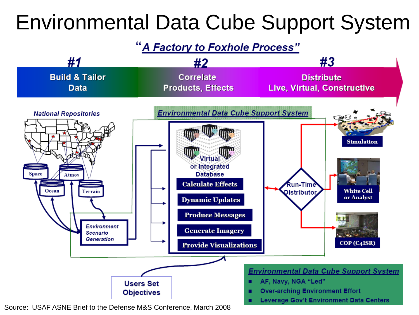### Environmental Data Cube Support System

#### "A Factory to Foxhole Process"



Source: USAF ASNE Brief to the Defense M&S Conference, March 2008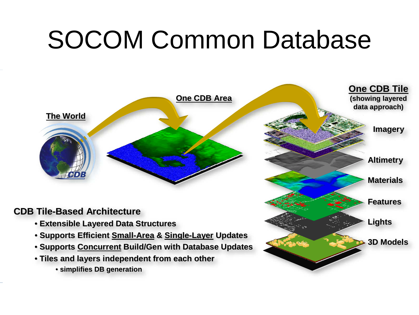### SOCOM Common Database

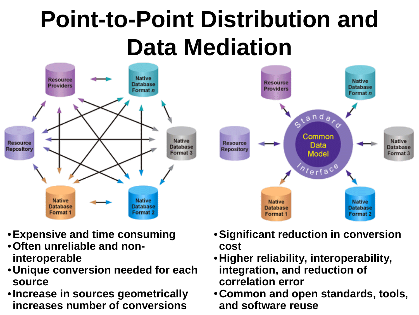### **Point-to-Point Distribution and Data Mediation**





- •**Expensive and time consuming**
- •**Often unreliable and noninteroperable**
- •**Unique conversion needed for each source**
- •**Increase in sources geometrically increases number of conversions**
- •**Significant reduction in conversion cost**
- •**Higher reliability, interoperability, integration, and reduction of correlation error**
- •**Common and open standards, tools, and software reuse**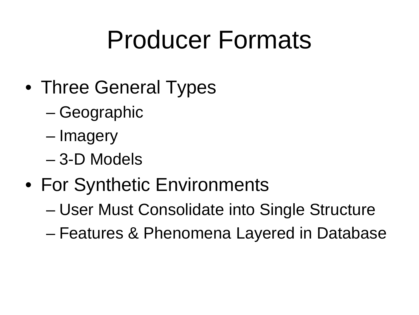### Producer Formats

- Three General Types
	- Geographic
	- Imagery
	- 3-D Models
- For Synthetic Environments
	- User Must Consolidate into Single Structure
	- Features & Phenomena Layered in Database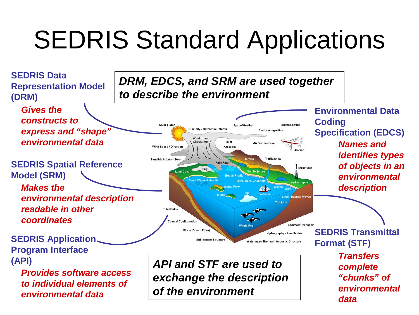## SEDRIS Standard Applications

**Humidity - Refractive Effects** 

**Wind-driver** Circulation

Fog

**Wind Speed / Direction** 

Sensible & Latent Her

**Tidal Pulse** 

**Coastal Configuration** 

Slope (Ocean Floor)

**Sub-bottom Structu** 

*to describe the environment*

*DRM, EDCS, and SRM are used together* 

Dust

Aerosol

**Rain Rate** 

Electro-optics

**Structures** 

**Sediment Transport** 

**Hydrography - Fine Scales** 

**Watermass Thermal - Acoustic Structure** 

Electro-magnetic

**Trafficability** 

**SEDRIS Data Representation Model (DRM)**

*Gives the constructs to express and "shape" environmental data*

**SEDRIS Spatial Reference Model (SRM)**

*Makes the environmental description readable in other coordinates*

**SEDRIS Application Program Interface (API)**

> *Provides software access to individual elements of environmental data*

*API and STF are used to exchange the description of the environment*

**Environmental Data Coding Specification (EDCS)** *Names and identifies types of objects in an environmental description*

**SEDRIS Transmittal Format (STF)** *Transfers complete "chunks" of environmental data*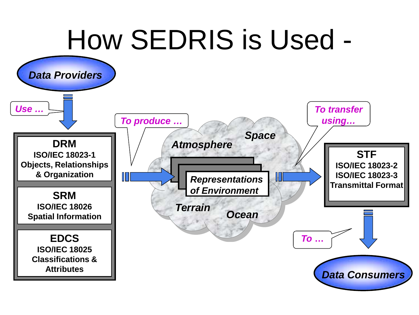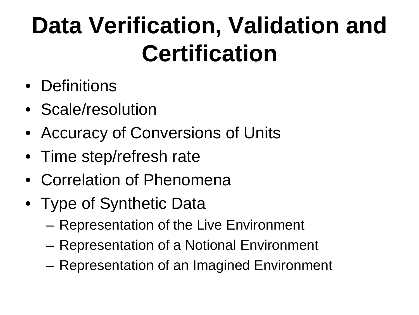### **Data Verification, Validation and Certification**

- Definitions
- Scale/resolution
- Accuracy of Conversions of Units
- Time step/refresh rate
- Correlation of Phenomena
- Type of Synthetic Data
	- Representation of the Live Environment
	- Representation of a Notional Environment
	- Representation of an Imagined Environment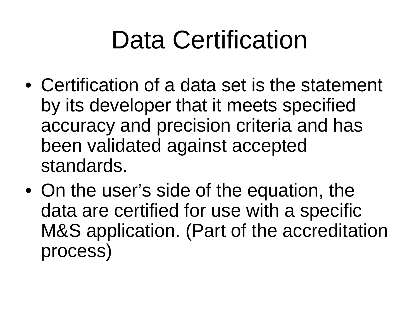### Data Certification

- Certification of a data set is the statement by its developer that it meets specified accuracy and precision criteria and has been validated against accepted standards.
- On the user's side of the equation, the data are certified for use with a specific M&S application. (Part of the accreditation process)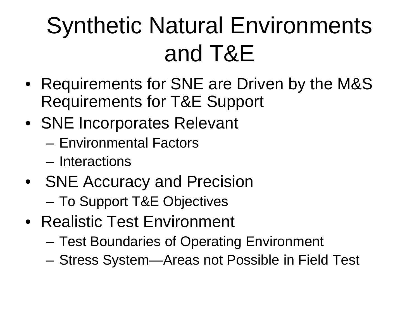### Synthetic Natural Environments and T&E

- Requirements for SNE are Driven by the M&S Requirements for T&E Support
- SNE Incorporates Relevant
	- Environmental Factors
	- Interactions
- SNE Accuracy and Precision
	- To Support T&E Objectives
- Realistic Test Environment
	- Test Boundaries of Operating Environment
	- Stress System—Areas not Possible in Field Test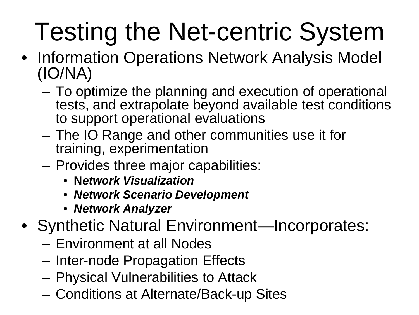# Testing the Net-centric System

- Information Operations Network Analysis Model (IO/NA)
	- To optimize the planning and execution of operational tests, and extrapolate beyond available test conditions to support operational evaluations
	- The IO Range and other communities use it for training, experimentation
	- Provides three major capabilities:
		- **N***etwork Visualization*
		- *Network Scenario Development*
		- *Network Analyzer*
- Synthetic Natural Environment—Incorporates:
	- Environment at all Nodes
	- Inter-node Propagation Effects
	- Physical Vulnerabilities to Attack
	- Conditions at Alternate/Back-up Sites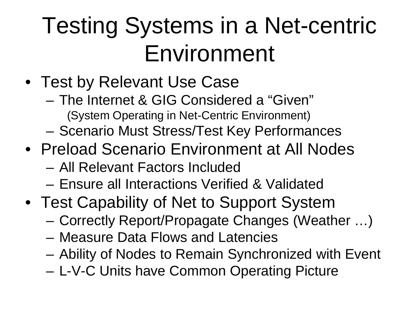### Testing Systems in a Net-centric Environment

- Test by Relevant Use Case
	- The Internet & GIG Considered a "Given" (System Operating in Net-Centric Environment)
	- Scenario Must Stress/Test Key Performances
- Preload Scenario Environment at All Nodes
	- All Relevant Factors Included
	- Ensure all Interactions Verified & Validated
- Test Capability of Net to Support System
	- Correctly Report/Propagate Changes (Weather …)
	- Measure Data Flows and Latencies
	- Ability of Nodes to Remain Synchronized with Event
	- L-V-C Units have Common Operating Picture